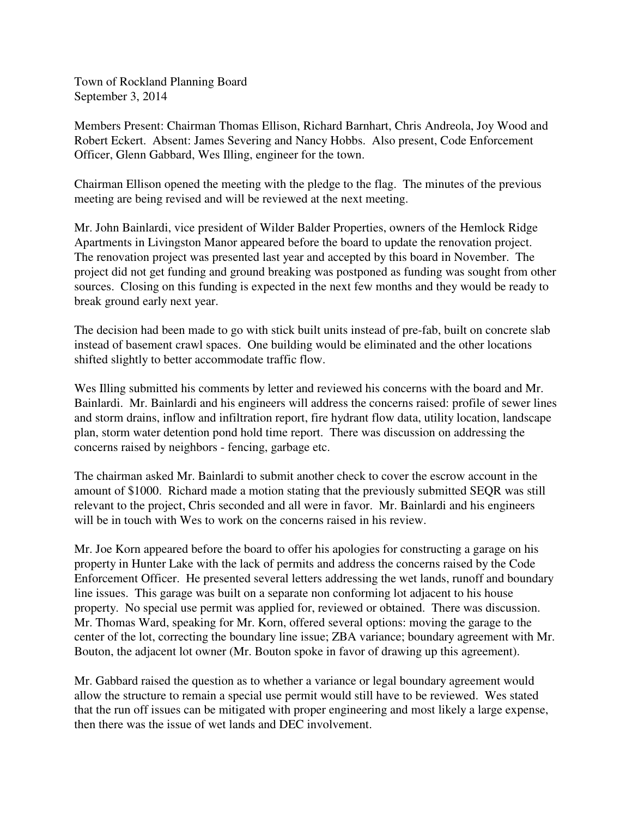Town of Rockland Planning Board September 3, 2014

Members Present: Chairman Thomas Ellison, Richard Barnhart, Chris Andreola, Joy Wood and Robert Eckert. Absent: James Severing and Nancy Hobbs. Also present, Code Enforcement Officer, Glenn Gabbard, Wes Illing, engineer for the town.

Chairman Ellison opened the meeting with the pledge to the flag. The minutes of the previous meeting are being revised and will be reviewed at the next meeting.

Mr. John Bainlardi, vice president of Wilder Balder Properties, owners of the Hemlock Ridge Apartments in Livingston Manor appeared before the board to update the renovation project. The renovation project was presented last year and accepted by this board in November. The project did not get funding and ground breaking was postponed as funding was sought from other sources. Closing on this funding is expected in the next few months and they would be ready to break ground early next year.

The decision had been made to go with stick built units instead of pre-fab, built on concrete slab instead of basement crawl spaces. One building would be eliminated and the other locations shifted slightly to better accommodate traffic flow.

Wes Illing submitted his comments by letter and reviewed his concerns with the board and Mr. Bainlardi. Mr. Bainlardi and his engineers will address the concerns raised: profile of sewer lines and storm drains, inflow and infiltration report, fire hydrant flow data, utility location, landscape plan, storm water detention pond hold time report. There was discussion on addressing the concerns raised by neighbors - fencing, garbage etc.

The chairman asked Mr. Bainlardi to submit another check to cover the escrow account in the amount of \$1000. Richard made a motion stating that the previously submitted SEQR was still relevant to the project, Chris seconded and all were in favor. Mr. Bainlardi and his engineers will be in touch with Wes to work on the concerns raised in his review.

Mr. Joe Korn appeared before the board to offer his apologies for constructing a garage on his property in Hunter Lake with the lack of permits and address the concerns raised by the Code Enforcement Officer. He presented several letters addressing the wet lands, runoff and boundary line issues. This garage was built on a separate non conforming lot adjacent to his house property. No special use permit was applied for, reviewed or obtained. There was discussion. Mr. Thomas Ward, speaking for Mr. Korn, offered several options: moving the garage to the center of the lot, correcting the boundary line issue; ZBA variance; boundary agreement with Mr. Bouton, the adjacent lot owner (Mr. Bouton spoke in favor of drawing up this agreement).

Mr. Gabbard raised the question as to whether a variance or legal boundary agreement would allow the structure to remain a special use permit would still have to be reviewed. Wes stated that the run off issues can be mitigated with proper engineering and most likely a large expense, then there was the issue of wet lands and DEC involvement.